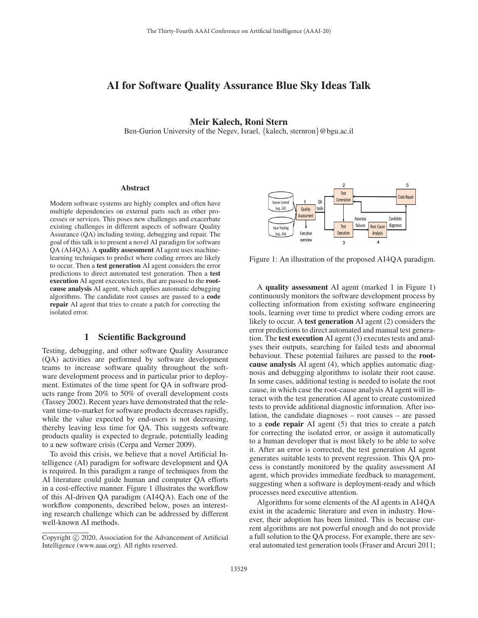# AI for Software Quality Assurance Blue Sky Ideas Talk

## Meir Kalech, Roni Stern

Ben-Gurion University of the Negev, Israel, {kalech, sternron}@bgu.ac.il

#### Abstract

Modern software systems are highly complex and often have multiple dependencies on external parts such as other processes or services. This poses new challenges and exacerbate existing challenges in different aspects of software Quality Assurance (QA) including testing, debugging and repair. The goal of this talk is to present a novel AI paradigm for software QA (AI4QA). A quality assessment AI agent uses machinelearning techniques to predict where coding errors are likely to occur. Then a test generation AI agent considers the error predictions to direct automated test generation. Then a test execution AI agent executes tests, that are passed to the rootcause analysis AI agent, which applies automatic debugging algorithms. The candidate root causes are passed to a code repair AI agent that tries to create a patch for correcting the isolated error.

## 1 Scientific Background

Testing, debugging, and other software Quality Assurance (QA) activities are performed by software development teams to increase software quality throughout the software development process and in particular prior to deployment. Estimates of the time spent for QA in software products range from 20% to 50% of overall development costs (Tassey 2002). Recent years have demonstrated that the relevant time-to-market for software products decreases rapidly, while the value expected by end-users is not decreasing, thereby leaving less time for QA. This suggests software products quality is expected to degrade, potentially leading to a new software crisis (Cerpa and Verner 2009).

To avoid this crisis, we believe that a novel Artificial Intelligence (AI) paradigm for software development and QA is required. In this paradigm a range of techniques from the AI literature could guide human and computer QA efforts in a cost-effective manner. Figure 1 illustrates the workflow of this AI-driven QA paradigm (AI4QA). Each one of the workflow components, described below, poses an interesting research challenge which can be addressed by different well-known AI methods.





Figure 1: An illustration of the proposed AI4QA paradigm.

A quality assessment AI agent (marked 1 in Figure 1) continuously monitors the software development process by collecting information from existing software engineering tools, learning over time to predict where coding errors are likely to occur. A test generation AI agent (2) considers the error predictions to direct automated and manual test generation. The test execution AI agent (3) executes tests and analyses their outputs, searching for failed tests and abnormal behaviour. These potential failures are passed to the rootcause analysis AI agent (4), which applies automatic diagnosis and debugging algorithms to isolate their root cause. In some cases, additional testing is needed to isolate the root cause, in which case the root-cause analysis AI agent will interact with the test generation AI agent to create customized tests to provide additional diagnostic information. After isolation, the candidate diagnoses – root causes – are passed to a code repair AI agent (5) that tries to create a patch for correcting the isolated error, or assign it automatically to a human developer that is most likely to be able to solve it. After an error is corrected, the test generation AI agent generates suitable tests to prevent regression. This QA process is constantly monitored by the quality assessment AI agent, which provides immediate feedback to management, suggesting when a software is deployment-ready and which processes need executive attention.

Algorithms for some elements of the AI agents in AI4QA exist in the academic literature and even in industry. However, their adoption has been limited. This is because current algorithms are not powerful enough and do not provide a full solution to the QA process. For example, there are several automated test generation tools (Fraser and Arcuri 2011;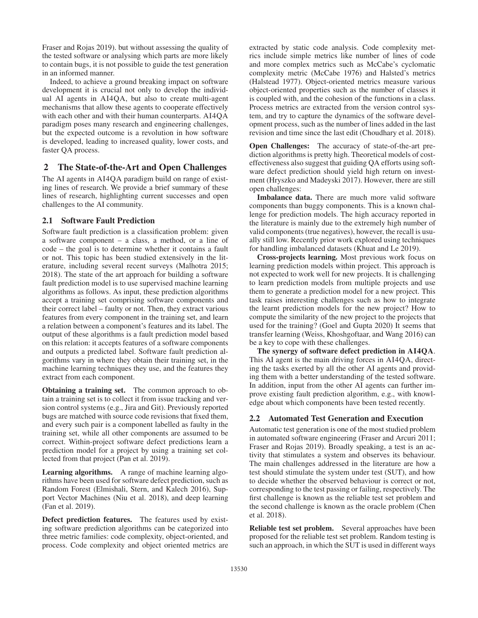Fraser and Rojas 2019). but without assessing the quality of the tested software or analysing which parts are more likely to contain bugs, it is not possible to guide the test generation in an informed manner.

Indeed, to achieve a ground breaking impact on software development it is crucial not only to develop the individual AI agents in AI4QA, but also to create multi-agent mechanisms that allow these agents to cooperate effectively with each other and with their human counterparts. AI4QA paradigm poses many research and engineering challenges, but the expected outcome is a revolution in how software is developed, leading to increased quality, lower costs, and faster QA process.

## 2 The State-of-the-Art and Open Challenges

The AI agents in AI4QA paradigm build on range of existing lines of research. We provide a brief summary of these lines of research, highlighting current successes and open challenges to the AI community.

## 2.1 Software Fault Prediction

Software fault prediction is a classification problem: given a software component – a class, a method, or a line of code – the goal is to determine whether it contains a fault or not. This topic has been studied extensively in the literature, including several recent surveys (Malhotra 2015; 2018). The state of the art approach for building a software fault prediction model is to use supervised machine learning algorithms as follows. As input, these prediction algorithms accept a training set comprising software components and their correct label – faulty or not. Then, they extract various features from every component in the training set, and learn a relation between a component's features and its label. The output of these algorithms is a fault prediction model based on this relation: it accepts features of a software components and outputs a predicted label. Software fault prediction algorithms vary in where they obtain their training set, in the machine learning techniques they use, and the features they extract from each component.

Obtaining a training set. The common approach to obtain a training set is to collect it from issue tracking and version control systems (e.g., Jira and Git). Previously reported bugs are matched with source code revisions that fixed them, and every such pair is a component labelled as faulty in the training set, while all other components are assumed to be correct. Within-project software defect predictions learn a prediction model for a project by using a training set collected from that project (Pan et al. 2019).

Learning algorithms. A range of machine learning algorithms have been used for software defect prediction, such as Random Forest (Elmishali, Stern, and Kalech 2016), Support Vector Machines (Niu et al. 2018), and deep learning (Fan et al. 2019).

Defect prediction features. The features used by existing software prediction algorithms can be categorized into three metric families: code complexity, object-oriented, and process. Code complexity and object oriented metrics are extracted by static code analysis. Code complexity metrics include simple metrics like number of lines of code and more complex metrics such as McCabe's cyclomatic complexity metric (McCabe 1976) and Halsted's metrics (Halstead 1977). Object-oriented metrics measure various object-oriented properties such as the number of classes it is coupled with, and the cohesion of the functions in a class. Process metrics are extracted from the version control system, and try to capture the dynamics of the software development process, such as the number of lines added in the last revision and time since the last edit (Choudhary et al. 2018).

Open Challenges: The accuracy of state-of-the-art prediction algorithms is pretty high. Theoretical models of costeffectiveness also suggest that guiding QA efforts using software defect prediction should yield high return on investment (Hryszko and Madeyski 2017). However, there are still open challenges:

Imbalance data. There are much more valid software components than buggy components. This is a known challenge for prediction models. The high accuracy reported in the literature is mainly due to the extremely high number of valid components (true negatives), however, the recall is usually still low. Recently prior work explored using techniques for handling imbalanced datasets (Khuat and Le 2019).

Cross-projects learning. Most previous work focus on learning prediction models within project. This approach is not expected to work well for new projects. It is challenging to learn prediction models from multiple projects and use them to generate a prediction model for a new project. This task raises interesting challenges such as how to integrate the learnt prediction models for the new project? How to compute the similarity of the new project to the projects that used for the training? (Goel and Gupta 2020) It seems that transfer learning (Weiss, Khoshgoftaar, and Wang 2016) can be a key to cope with these challenges.

The synergy of software defect prediction in AI4QA. This AI agent is the main driving forces in AI4QA, directing the tasks exerted by all the other AI agents and providing them with a better understanding of the tested software. In addition, input from the other AI agents can further improve existing fault prediction algorithm, e.g., with knowledge about which components have been tested recently.

### 2.2 Automated Test Generation and Execution

Automatic test generation is one of the most studied problem in automated software engineering (Fraser and Arcuri 2011; Fraser and Rojas 2019). Broadly speaking, a test is an activity that stimulates a system and observes its behaviour. The main challenges addressed in the literature are how a test should stimulate the system under test (SUT), and how to decide whether the observed behaviour is correct or not, corresponding to the test passing or failing, respectively. The first challenge is known as the reliable test set problem and the second challenge is known as the oracle problem (Chen et al. 2018).

Reliable test set problem. Several approaches have been proposed for the reliable test set problem. Random testing is such an approach, in which the SUT is used in different ways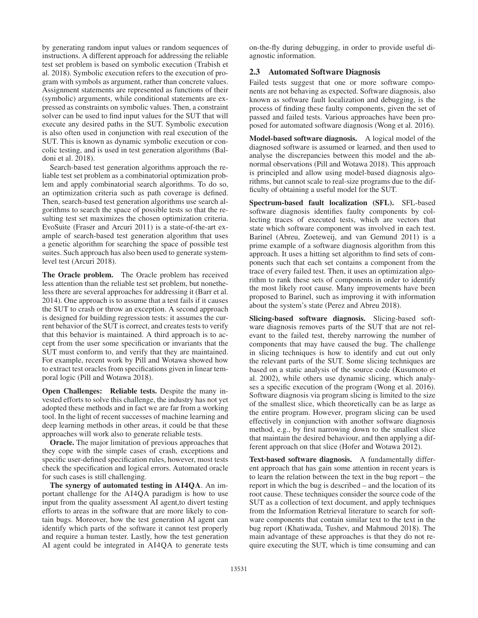by generating random input values or random sequences of instructions. A different approach for addressing the reliable test set problem is based on symbolic execution (Trabish et al. 2018). Symbolic execution refers to the execution of program with symbols as argument, rather than concrete values. Assignment statements are represented as functions of their (symbolic) arguments, while conditional statements are expressed as constraints on symbolic values. Then, a constraint solver can be used to find input values for the SUT that will execute any desired paths in the SUT. Symbolic execution is also often used in conjunction with real execution of the SUT. This is known as dynamic symbolic execution or concolic testing, and is used in test generation algorithms (Baldoni et al. 2018).

Search-based test generation algorithms approach the reliable test set problem as a combinatorial optimization problem and apply combinatorial search algorithms. To do so, an optimization criteria such as path coverage is defined. Then, search-based test generation algorithms use search algorithms to search the space of possible tests so that the resulting test set maximizes the chosen optimization criteria. EvoSuite (Fraser and Arcuri 2011) is a state-of-the-art example of search-based test generation algorithm that uses a genetic algorithm for searching the space of possible test suites. Such approach has also been used to generate systemlevel test (Arcuri 2018).

The Oracle problem. The Oracle problem has received less attention than the reliable test set problem, but nonetheless there are several approaches for addressing it (Barr et al. 2014). One approach is to assume that a test fails if it causes the SUT to crash or throw an exception. A second approach is designed for building regression tests: it assumes the current behavior of the SUT is correct, and creates tests to verify that this behavior is maintained. A third approach is to accept from the user some specification or invariants that the SUT must conform to, and verify that they are maintained. For example, recent work by Pill and Wotawa showed how to extract test oracles from specifications given in linear temporal logic (Pill and Wotawa 2018).

Open Challenges: Reliable tests. Despite the many invested efforts to solve this challenge, the industry has not yet adopted these methods and in fact we are far from a working tool. In the light of recent successes of machine learning and deep learning methods in other areas, it could be that these approaches will work also to generate reliable tests.

Oracle. The major limitation of previous approaches that they cope with the simple cases of crash, exceptions and specific user-defined specification rules, however, most tests check the specification and logical errors. Automated oracle for such cases is still challenging.

The synergy of automated testing in AI4QA. An important challenge for the AI4QA paradigm is how to use input from the quality assessment AI agent, to divert testing efforts to areas in the software that are more likely to contain bugs. Moreover, how the test generation AI agent can identify which parts of the software it cannot test properly and require a human tester. Lastly, how the test generation AI agent could be integrated in AI4QA to generate tests on-the-fly during debugging, in order to provide useful diagnostic information.

### 2.3 Automated Software Diagnosis

Failed tests suggest that one or more software components are not behaving as expected. Software diagnosis, also known as software fault localization and debugging, is the process of finding these faulty components, given the set of passed and failed tests. Various approaches have been proposed for automated software diagnosis (Wong et al. 2016).

Model-based software diagnosis. A logical model of the diagnosed software is assumed or learned, and then used to analyse the discrepancies between this model and the abnormal observations (Pill and Wotawa 2018). This approach is principled and allow using model-based diagnosis algorithms, but cannot scale to real-size programs due to the difficulty of obtaining a useful model for the SUT.

Spectrum-based fault localization (SFL). SFL-based software diagnosis identifies faulty components by collecting traces of executed tests, which are vectors that state which software component was involved in each test. Barinel (Abreu, Zoeteweij, and van Gemund 2011) is a prime example of a software diagnosis algorithm from this approach. It uses a hitting set algorithm to find sets of components such that each set contains a component from the trace of every failed test. Then, it uses an optimization algorithm to rank these sets of components in order to identify the most likely root cause. Many improvements have been proposed to Barinel, such as improving it with information about the system's state (Perez and Abreu 2018).

Slicing-based software diagnosis. Slicing-based software diagnosis removes parts of the SUT that are not relevant to the failed test, thereby narrowing the number of components that may have caused the bug. The challenge in slicing techniques is how to identify and cut out only the relevant parts of the SUT. Some slicing techniques are based on a static analysis of the source code (Kusumoto et al. 2002), while others use dynamic slicing, which analyses a specific execution of the program (Wong et al. 2016). Software diagnosis via program slicing is limited to the size of the smallest slice, which theoretically can be as large as the entire program. However, program slicing can be used effectively in conjunction with another software diagnosis method, e.g., by first narrowing down to the smallest slice that maintain the desired behaviour, and then applying a different approach on that slice (Hofer and Wotawa 2012).

Text-based software diagnosis. A fundamentally different approach that has gain some attention in recent years is to learn the relation between the text in the bug report – the report in which the bug is described – and the location of its root cause. These techniques consider the source code of the SUT as a collection of text document, and apply techniques from the Information Retrieval literature to search for software components that contain similar text to the text in the bug report (Khatiwada, Tushev, and Mahmoud 2018). The main advantage of these approaches is that they do not require executing the SUT, which is time consuming and can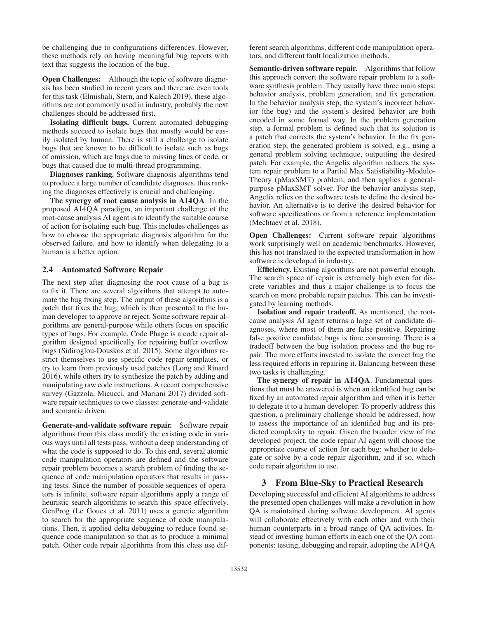be challenging due to configurations differences. However, these methods rely on having meaningful bug reports with text that suggests the location of the bug.

**Open Challenges:** Although the topic of software diagnosis has been studied in recent years and there are even tools for this task (Elmishali, Stern, and Kalech 2019), these algorithms are not commonly used in industry, probably the next challenges should be addressed first.

Isolating difficult bugs. Current automated debugging methods succeed to isolate bugs that mostly would be easily isolated by human. There is still a challenge to isolate bugs that are known to be difficult to isolate such as bugs of omission, which are bugs due to missing lines of code, or bugs that caused due to multi-thread programming.

Diagnoses ranking. Software diagnosis algorithms tend to produce a large number of candidate diagnoses, thus ranking the diagnoses effectively is crucial and challenging.

The synergy of root cause analysis in AI4QA. In the proposed AI4QA paradigm, an important challenge of the root-cause analysis AI agent is to identify the suitable course of action for isolating each bug. This includes challenges as how to choose the appropriate diagnosis algorithm for the observed failure, and how to identify when delegating to a human is a better option.

## 2.4 Automated Software Repair

The next step after diagnosing the root cause of a bug is to fix it. There are several algorithms that attempt to automate the bug fixing step. The output of these algorithms is a patch that fixes the bug, which is then presented to the human developer to approve or reject. Some software repair algorithms are general-purpose while others focus on specific types of bugs. For example, Code Phage is a code repair algorithm designed specifically for repairing buffer overflow bugs (Sidiroglou-Douskos et al. 2015). Some algorithms restrict themselves to use specific code repair templates, or try to learn from previously used patches (Long and Rinard 2016), while others try to synthesize the patch by adding and manipulating raw code instructions. A recent comprehensive survey (Gazzola, Micucci, and Mariani 2017) divided software repair techniques to two classes: generate-and-validate and semantic driven.

Generate-and-validate software repair. Software repair algorithms from this class modify the existing code in various ways until all tests pass, without a deep understanding of what the code is supposed to do. To this end, several atomic code manipulation operators are defined and the software repair problem becomes a search problem of finding the sequence of code manipulation operators that results in passing tests. Since the number of possible sequences of operators is infinite, software repair algorithms apply a range of heuristic search algorithms to search this space effectively. GenProg (Le Goues et al. 2011) uses a genetic algorithm to search for the appropriate sequence of code manipulations. Then, it applied delta debugging to reduce found sequence code manipulation so that as to produce a minimal patch. Other code repair algorithms from this class use dif-

ferent search algorithms, different code manipulation operators, and different fault localization methods.

Semantic-driven software repair. Algorithms that follow this approach convert the software repair problem to a software synthesis problem. They usually have three main steps: behavior analysis, problem generation, and fix generation. In the behavior analysis step, the system's incorrect behavior (the bug) and the system's desired behavior are both encoded in some formal way. In the problem generation step, a formal problem is defined such that its solution is a patch that corrects the system's behavior. In the fix generation step, the generated problem is solved, e.g., using a general problem solving technique, outputting the desired patch. For example, the Angelix algorithm reduces the system repair problem to a Partial Max Satisfiability-Modulo-Theory (pMaxSMT) problem, and then applies a generalpurpose pMaxSMT solver. For the behavior analysis step, Angelix relies on the software tests to define the desired behavior. An alternative is to derive the desired behavior for software specifications or from a reference implementation (Mechtaev et al. 2018).

Open Challenges: Current software repair algorithms work surprisingly well on academic benchmarks. However, this has not translated to the expected transformation in how software is developed in industry.

Efficiency. Existing algorithms are not powerful enough. The search space of repair is extremely high even for discrete variables and thus a major challenge is to focus the search on more probable repair patches. This can be investigated by learning methods.

Isolation and repair tradeoff. As mentioned, the rootcause analysis AI agent returns a large set of candidate diagnoses, where most of them are false positive. Repairing false positive candidate bugs is time consuming. There is a tradeoff between the bug isolation process and the bug repair. The more efforts invested to isolate the correct bug the less required efforts in repairing it. Balancing between these two tasks is challenging.

The synergy of repair in AI4QA. Fundamental questions that must be answered is when an identified bug can be fixed by an automated repair algorithm and when it is better to delegate it to a human developer. To properly address this question, a preliminary challenge should be addressed, how to assess the importance of an identified bug and its predicted complexity to repair. Given the broader view of the developed project, the code repair AI agent will choose the appropriate course of action for each bug: whether to delegate or solve by a code repair algorithm, and if so, which code repair algorithm to use.

#### 3 From Blue-Sky to Practical Research

Developing successful and efficient AI algorithms to address the presented open challenges will make a revolution in how QA is maintained during software development. AI agents will collaborate effectively with each other and with their human counterparts in a broad range of QA activities. Instead of investing human efforts in each one of the QA components: testing, debugging and repair, adopting the AI4QA